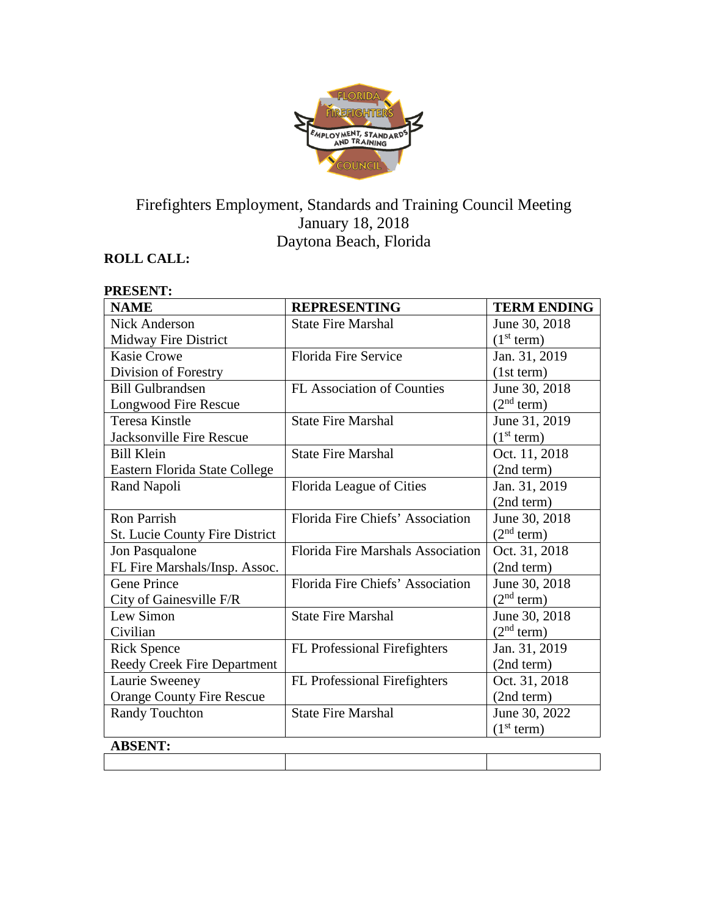

# Firefighters Employment, Standards and Training Council Meeting January 18, 2018 Daytona Beach, Florida

# **ROLL CALL:**

| <b>PRESENT:</b>                       |                                   |                        |
|---------------------------------------|-----------------------------------|------------------------|
| <b>NAME</b>                           | <b>REPRESENTING</b>               | <b>TERM ENDING</b>     |
| Nick Anderson                         | <b>State Fire Marshal</b>         | June 30, 2018          |
| Midway Fire District                  |                                   | (1 <sup>st</sup> term) |
| <b>Kasie Crowe</b>                    | Florida Fire Service              | Jan. 31, 2019          |
| Division of Forestry                  |                                   | (1st term)             |
| <b>Bill Gulbrandsen</b>               | <b>FL Association of Counties</b> | June 30, 2018          |
| Longwood Fire Rescue                  |                                   | (2 <sup>nd</sup> term) |
| <b>Teresa Kinstle</b>                 | <b>State Fire Marshal</b>         | June 31, 2019          |
| <b>Jacksonville Fire Rescue</b>       |                                   | (1 <sup>st</sup> term) |
| <b>Bill Klein</b>                     | <b>State Fire Marshal</b>         | Oct. 11, 2018          |
| Eastern Florida State College         |                                   | (2nd term)             |
| Rand Napoli                           | Florida League of Cities          | Jan. 31, 2019          |
|                                       |                                   | (2nd term)             |
| Ron Parrish                           | Florida Fire Chiefs' Association  | June 30, 2018          |
| <b>St. Lucie County Fire District</b> |                                   | (2 <sup>nd</sup> term) |
| Jon Pasqualone                        | Florida Fire Marshals Association | Oct. 31, 2018          |
| FL Fire Marshals/Insp. Assoc.         |                                   | (2nd term)             |
| <b>Gene Prince</b>                    | Florida Fire Chiefs' Association  | June 30, 2018          |
| City of Gainesville F/R               |                                   | (2 <sup>nd</sup> term) |
| Lew Simon                             | <b>State Fire Marshal</b>         | June 30, 2018          |
| Civilian                              |                                   | (2 <sup>nd</sup> term) |
| <b>Rick Spence</b>                    | FL Professional Firefighters      | Jan. 31, 2019          |
| Reedy Creek Fire Department           |                                   | (2nd term)             |
| Laurie Sweeney                        | FL Professional Firefighters      | Oct. 31, 2018          |
| <b>Orange County Fire Rescue</b>      |                                   | (2nd term)             |
| <b>Randy Touchton</b>                 | <b>State Fire Marshal</b>         | June 30, 2022          |
|                                       |                                   | (1 <sup>st</sup> term) |
| <b>ABSENT:</b>                        |                                   |                        |
|                                       |                                   |                        |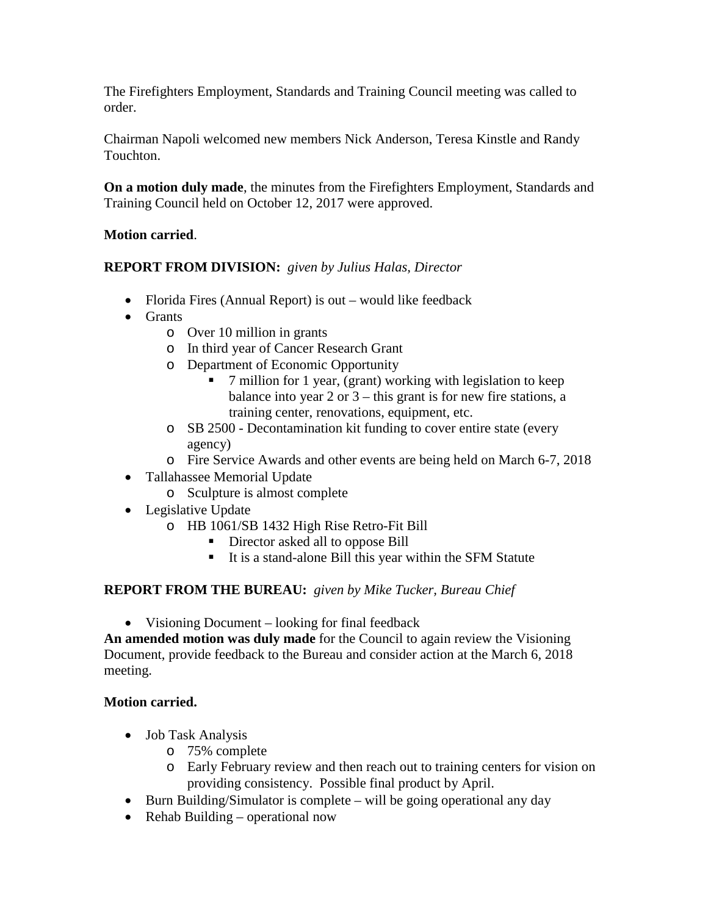The Firefighters Employment, Standards and Training Council meeting was called to order.

Chairman Napoli welcomed new members Nick Anderson, Teresa Kinstle and Randy Touchton.

**On a motion duly made**, the minutes from the Firefighters Employment, Standards and Training Council held on October 12, 2017 were approved.

#### **Motion carried**.

#### **REPORT FROM DIVISION:** *given by Julius Halas, Director*

- Florida Fires (Annual Report) is out would like feedback
- Grants
	- o Over 10 million in grants
	- o In third year of Cancer Research Grant
	- o Department of Economic Opportunity
		- 7 million for 1 year, (grant) working with legislation to keep balance into year  $2$  or  $3$  – this grant is for new fire stations, a training center, renovations, equipment, etc.
	- o SB 2500 Decontamination kit funding to cover entire state (every agency)
	- o Fire Service Awards and other events are being held on March 6-7, 2018
- Tallahassee Memorial Update
	- o Sculpture is almost complete
- Legislative Update
	- o HB 1061/SB 1432 High Rise Retro-Fit Bill
		- Director asked all to oppose Bill
		- It is a stand-alone Bill this year within the SFM Statute

#### **REPORT FROM THE BUREAU:** *given by Mike Tucker, Bureau Chief*

• Visioning Document – looking for final feedback

**An amended motion was duly made** for the Council to again review the Visioning Document, provide feedback to the Bureau and consider action at the March 6, 2018 meeting.

#### **Motion carried.**

- Job Task Analysis
	- o 75% complete
	- o Early February review and then reach out to training centers for vision on providing consistency. Possible final product by April.
- Burn Building/Simulator is complete will be going operational any day
- Rehab Building operational now